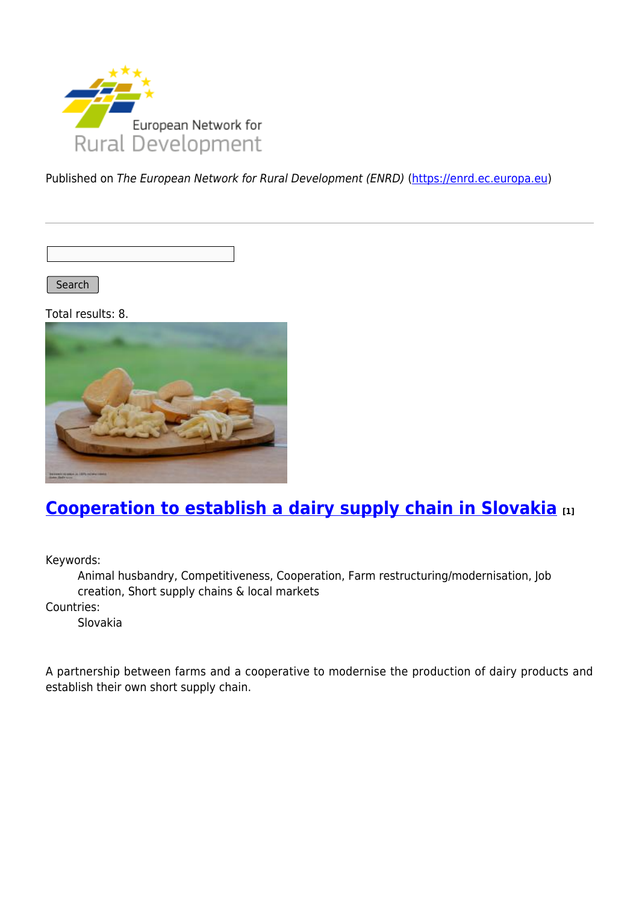

Published on The European Network for Rural Development (ENRD) [\(https://enrd.ec.europa.eu](https://enrd.ec.europa.eu))

Search

Total results: 8.



## **[Cooperation to establish a dairy supply chain in Slovakia](https://enrd.ec.europa.eu/projects-practice/cooperation-establish-dairy-supply-chain-slovakia_en) [1]**

Keywords:

Animal husbandry, Competitiveness, Cooperation, Farm restructuring/modernisation, Job creation, Short supply chains & local markets

Countries:

Slovakia

A partnership between farms and a cooperative to modernise the production of dairy products and establish their own short supply chain.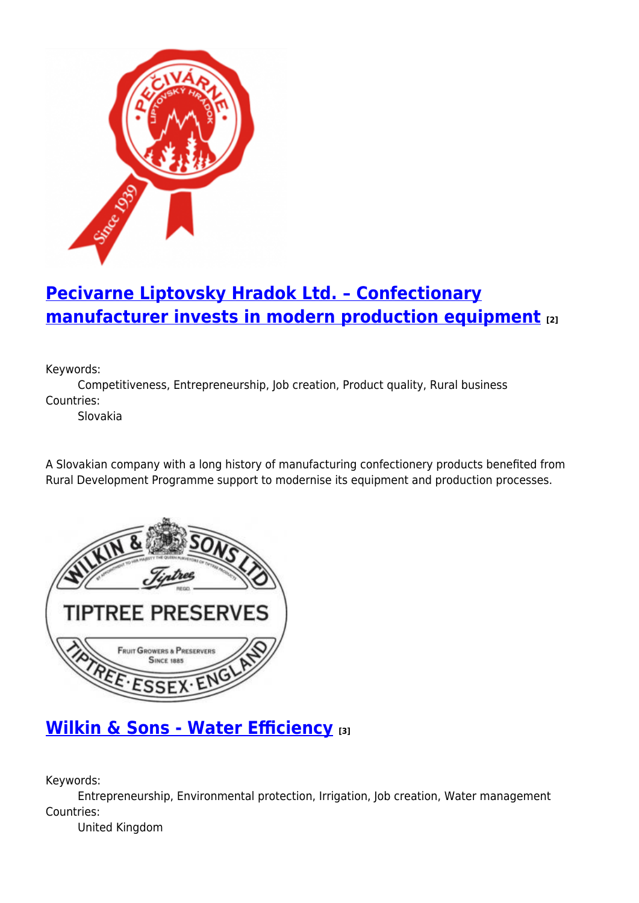

# **[Pecivarne Liptovsky Hradok Ltd. – Confectionary](https://enrd.ec.europa.eu/projects-practice/pecivarne-liptovsky-hradok-ltd-confectionary-manufacturer-invests-modern_en) [manufacturer invests in modern production equipment](https://enrd.ec.europa.eu/projects-practice/pecivarne-liptovsky-hradok-ltd-confectionary-manufacturer-invests-modern_en) [2]**

Keywords:

Competitiveness, Entrepreneurship, Job creation, Product quality, Rural business Countries:

Slovakia

A Slovakian company with a long history of manufacturing confectionery products benefited from Rural Development Programme support to modernise its equipment and production processes.



## **[Wilkin & Sons - Water Efficiency](https://enrd.ec.europa.eu/projects-practice/wilkin-sons-water-efficiency_en) [3]**

Keywords:

Entrepreneurship, Environmental protection, Irrigation, Job creation, Water management Countries:

United Kingdom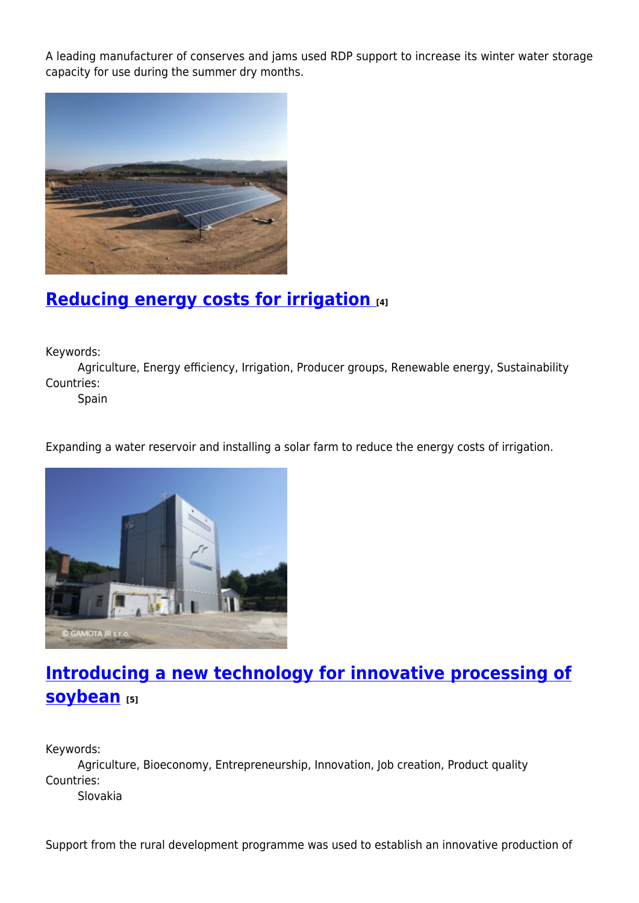A leading manufacturer of conserves and jams used RDP support to increase its winter water storage capacity for use during the summer dry months.



## **[Reducing energy costs for irrigation](https://enrd.ec.europa.eu/projects-practice/reducing-energy-costs-irrigation_en) [4]**

Keywords:

Agriculture, Energy efficiency, Irrigation, Producer groups, Renewable energy, Sustainability Countries:

Spain

Expanding a water reservoir and installing a solar farm to reduce the energy costs of irrigation.



## **[Introducing a new technology for innovative processing of](https://enrd.ec.europa.eu/projects-practice/introducing-new-technology-innovative-processing-soybean_en) [soybean](https://enrd.ec.europa.eu/projects-practice/introducing-new-technology-innovative-processing-soybean_en) [5]**

Keywords:

Agriculture, Bioeconomy, Entrepreneurship, Innovation, Job creation, Product quality Countries: Slovakia

Support from the rural development programme was used to establish an innovative production of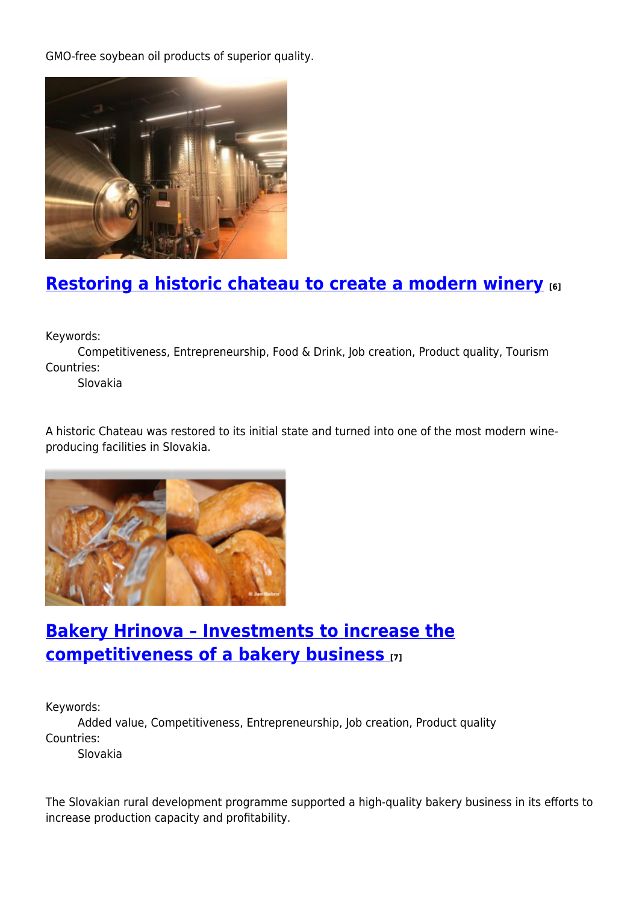GMO-free soybean oil products of superior quality.



## **[Restoring a historic chateau to create a modern winery](https://enrd.ec.europa.eu/projects-practice/restoring-historic-chateau-create-modern-winery_en) [6]**

Keywords:

Competitiveness, Entrepreneurship, Food & Drink, Job creation, Product quality, Tourism Countries:

Slovakia

A historic Chateau was restored to its initial state and turned into one of the most modern wineproducing facilities in Slovakia.



## **[Bakery Hrinova – Investments to increase the](https://enrd.ec.europa.eu/projects-practice/bakery-hrinova-investments-increase-competitiveness-bakery-business_en) [competitiveness of a bakery business](https://enrd.ec.europa.eu/projects-practice/bakery-hrinova-investments-increase-competitiveness-bakery-business_en) [7]**

Keywords:

Added value, Competitiveness, Entrepreneurship, Job creation, Product quality Countries:

Slovakia

The Slovakian rural development programme supported a high-quality bakery business in its efforts to increase production capacity and profitability.